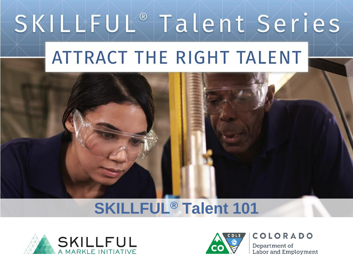# SKILLFUL® Talent Series

# ATTRACT THE RIGHT TALENT

## **SKILLFUL® Talent 101**





**COLORADO** 

Department of Labor and Employment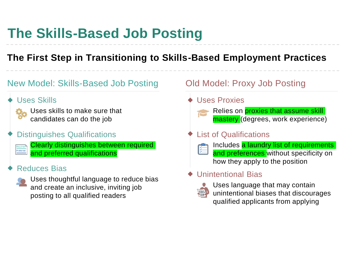## **The Skills-Based Job Posting**

#### **The First Step in Transitioning to Skills-Based Employment Practices**

#### New Model: Skills-Based Job Posting

Uses Skills



Required<br>Preferred

Uses skills to make sure that candidates can do the job

#### Distinguishes Qualifications

Clearly distinguishes between required and preferred qualifications

#### Reduces Bias



Uses thoughtful language to reduce bias and create an inclusive, inviting job posting to all qualified readers

#### Old Model: Proxy Job Posting

#### Uses Proxies



#### List of Qualifications



Includes a laundry list of requirements and preferences without specificity on how they apply to the position

#### Unintentional Bias



Uses language that may contain unintentional biases that discourages qualified applicants from applying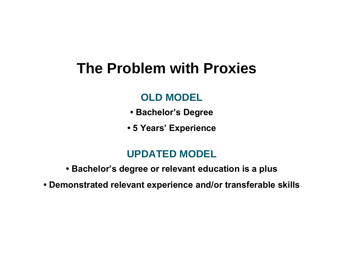## **The Problem with Proxies**

### **OLD MODEL**

- **Bachelor's Degree**
- **5 Years' Experience**

### **UPDATED MODEL**

- **Bachelor's degree or relevant education is a plus**
- **Demonstrated relevant experience and/or transferable skills**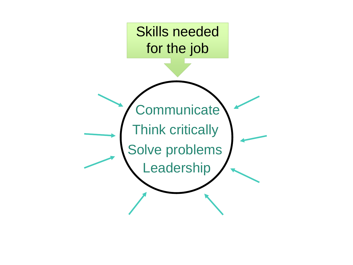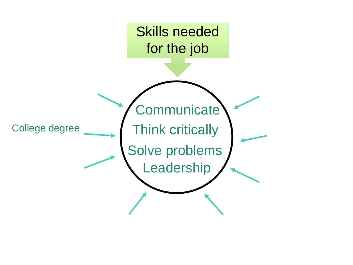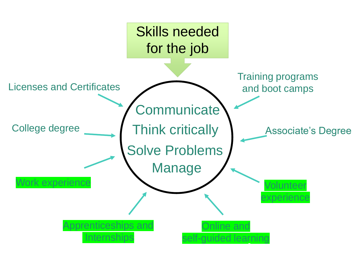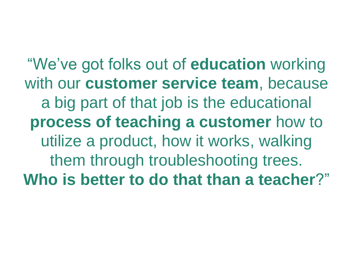"We've got folks out of **education** working with our **customer service team**, because a big part of that job is the educational **process of teaching a customer** how to utilize a product, how it works, walking them through troubleshooting trees. **Who is better to do that than a teacher**?"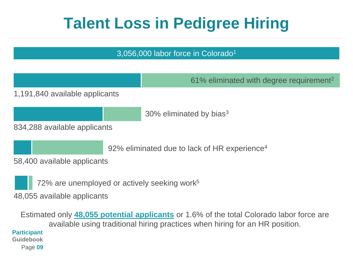## **Talent Loss in Pedigree Hiring**

#### 3,056,000 labor force in Colorado<sup>1</sup>

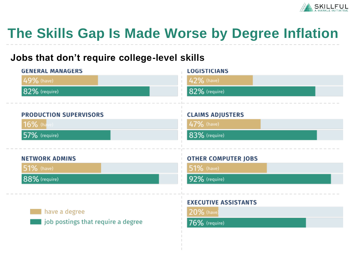

## **The Skills Gap Is Made Worse by Degree Inflation**

#### **Jobs that don't require college-level skills**

| <b>GENERAL MANAGERS</b>                 | <b>LOGISTICIANS</b>         |
|-----------------------------------------|-----------------------------|
| 49% (have)                              | 42% (have)                  |
| 82% (require)                           | 82% (require)               |
|                                         |                             |
| <b>PRODUCTION SUPERVISORS</b>           | <b>CLAIMS ADJUSTERS</b>     |
| 16% (have)                              | 47% (have)                  |
| 57% (require)                           | 83% (require)               |
|                                         |                             |
|                                         |                             |
| <b>NETWORK ADMINS</b>                   | <b>OTHER COMPUTER JOBS</b>  |
| <b>51%</b> (have)                       | <b>51%</b> (have)           |
| 88% (require)                           | 92% (require)               |
|                                         |                             |
|                                         | <b>EXECUTIVE ASSISTANTS</b> |
| have a degree                           | 20% (have)                  |
| sologied bookings that require a degree | 76% (require)               |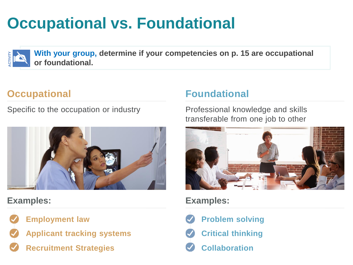## **Occupational vs. Foundational**



**With your group, determine if your competencies on p. 15 are occupational or foundational.**

### **Occupational**

Specific to the occupation or industry **Professional knowledge and skills** 



**Examples: Examples:**



**Applicant tracking systems Critical thinking**

**Recruitment Strategies Collaboration** 

#### **Foundational**

transferable from one job to other



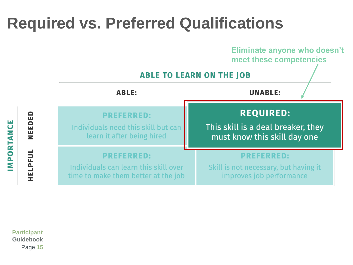## **Required vs. Preferred Qualifications**



**Participant Guidebook** Page **15**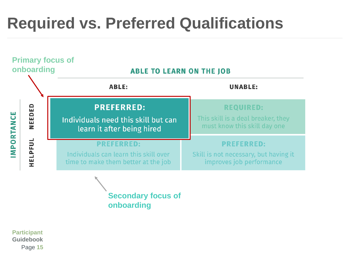## **Required vs. Preferred Qualifications**



**Secondary focus of onboarding**

**Participant Guidebook** Page **15**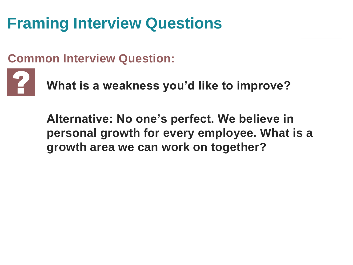## **Framing Interview Questions**

### **Common Interview Question:**



**What is a weakness you'd like to improve?**

**Alternative: No one's perfect. We believe in personal growth for every employee. What is a growth area we can work on together?**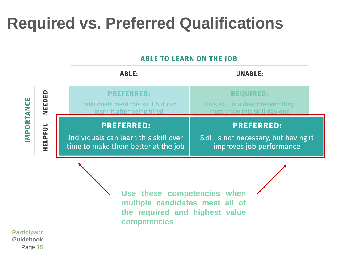## **Required vs. Preferred Qualifications**

#### **ABLE TO LEARN ON THE JOB**

|                                                                                                                                                            |        | <b>ABLE:</b>                                                                           |  | <b>UNABLE:</b>                                                                         |
|------------------------------------------------------------------------------------------------------------------------------------------------------------|--------|----------------------------------------------------------------------------------------|--|----------------------------------------------------------------------------------------|
|                                                                                                                                                            | NEEDED | <b>PREFERRED:</b><br>Individuals need this skill but can<br>learn it after being hired |  | <b>REQUIRED:</b><br>This skill is a deal breaker, they<br>must know this skill day one |
| MPORTANCE<br><b>PREFERRED:</b><br><b>HELPFUL</b><br>Individuals can learn this skill over<br>time to make them better at the job                           |        | <b>PREFERRED:</b><br>Skill is not necessary, but having it<br>improves job performance |  |                                                                                        |
| Use these competencies when<br>multiple candidates meet all of<br>the required and highest value<br>competencies<br><b>Participant</b><br><b>Guidebook</b> |        |                                                                                        |  |                                                                                        |

Page **15**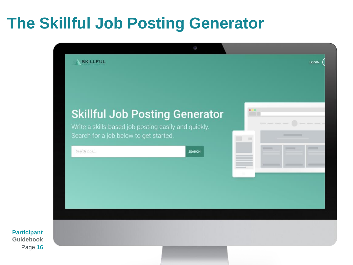## **The Skillful Job Posting Generator**



**Participant Guidebook** Page **16**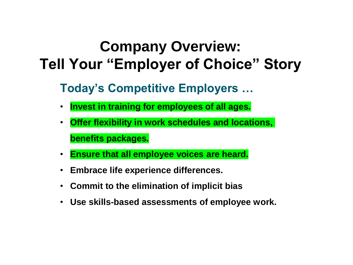## **Company Overview: Tell Your "Employer of Choice" Story**

### **Today's Competitive Employers …**

- **Invest in training for employees of all ages.**
- **Offer flexibility in work schedules and locations, benefits packages.**
- **Ensure that all employee voices are heard.**
- **Embrace life experience differences.**
- **Commit to the elimination of implicit bias**
- **Use skills-based assessments of employee work.**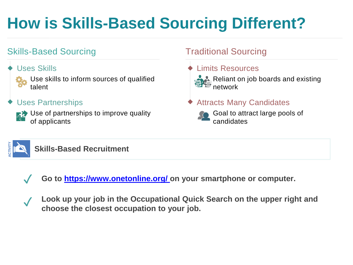## **How is Skills-Based Sourcing Different?**

#### Skills-Based Sourcing

#### Uses Skills



Use skills to inform sources of qualified talent

#### Uses Partnerships



**E2** Use of partnerships to improve quality

#### Traditional Sourcing

Limits Resources



 $\sum\limits_{i=1}^n$ Reliant on job boards and existing network

#### Attracts Many Candidates

Goal to attract large pools of candidates



**Skills-Based Recruitment**



✓ **Go to [https://www.onetonline.org/ o](https://www.onetonline.org/)n your smartphone or computer.**

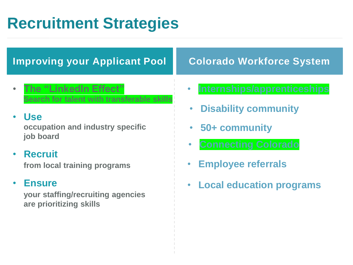## **Recruitment Strategies**

### **Improving your Applicant Pool**

• **The "LinkedIn Effect" Search for talent with transferable skills**

#### • **Use occupation and industry specific job board**

#### • **Recruit from local training programs**

#### • **Ensure**

**your staffing/recruiting agencies are prioritizing skills**

### **Colorado Workforce System**

- **Internships/apprenticeships**
- **Disability community**
- **50+ community**
- **Connecting Colorado**
- **Employee referrals**
- **Local education programs**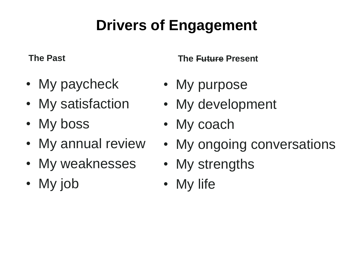## **Drivers of Engagement**

**The Past**

- My paycheck
- My satisfaction
- My boss
- My annual review
- My weaknesses
- My job

**The Future Present**

- My purpose
- My development
- My coach
- My ongoing conversations
- My strengths
- My life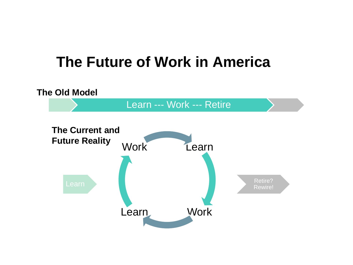## **The Future of Work in America**

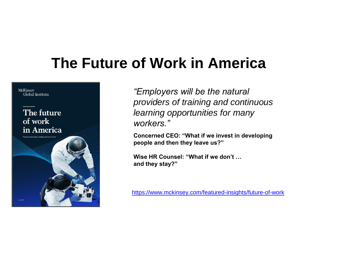## **The Future of Work in America**



*"Employers will be the natural providers of training and continuous learning opportunities for many workers."*

**Concerned CEO: "What if we invest in developing people and then they leave us?"** 

**Wise HR Counsel: "What if we don't … and they stay?"** 

<https://www.mckinsey.com/featured-insights/future-of-work>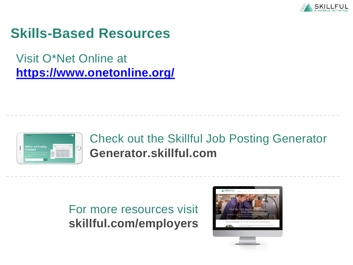

### **Skills-Based Resources**

Visit O\*Net Online at **<https://www.onetonline.org/>**



### **[Generator.skillful.com](https://generator.skillful.com/)** Check out the Skillful Job Posting Generator

### **[skillful.com/employers](https://skillful.com/employers)**  For more resources visit

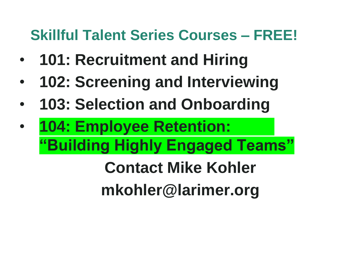## **Skillful Talent Series Courses – FREE!**

- **101: Recruitment and Hiring**
- **102: Screening and Interviewing**
- **103: Selection and Onboarding**
- **104: Employee Retention: "Building Highly Engaged Teams"**

**Contact Mike Kohler mkohler@larimer.org**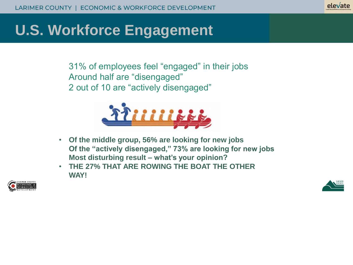#### elevate

## **U.S. Workforce Engagement**

31% of employees feel "engaged" in their jobs Around half are "disengaged" 2 out of 10 are "actively disengaged"



- **Of the middle group, 56% are looking for new jobs Of the "actively disengaged," 73% are looking for new jobs Most disturbing result – what's your opinion?**
- **THE 27% THAT ARE ROWING THE BOAT THE OTHER WAY!**



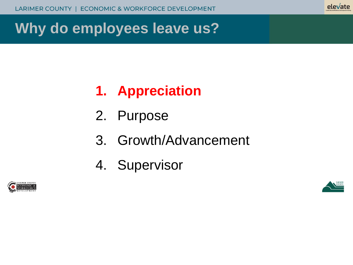#### elevate

## **Why do employees leave us?**

## **1. Appreciation**

- 2. Purpose
- 3. Growth/Advancement
- 4. Supervisor